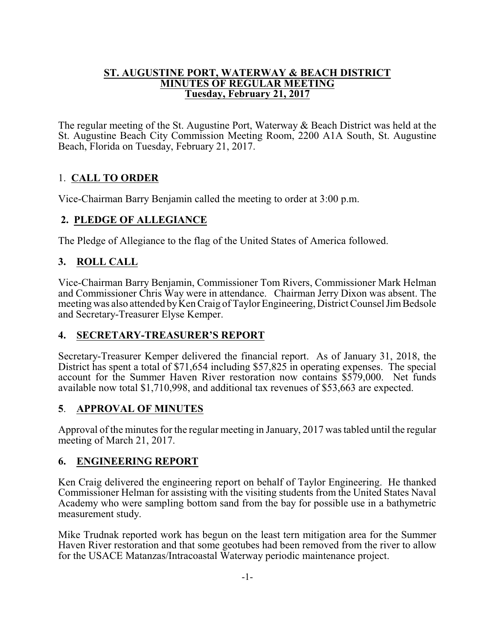#### **ST. AUGUSTINE PORT, WATERWAY & BEACH DISTRICT MINUTES OF REGULAR MEETING Tuesday, February 21, 2017**

The regular meeting of the St. Augustine Port, Waterway & Beach District was held at the St. Augustine Beach City Commission Meeting Room, 2200 A1A South, St. Augustine Beach, Florida on Tuesday, February 21, 2017.

# 1. **CALL TO ORDER**

Vice-Chairman Barry Benjamin called the meeting to order at 3:00 p.m.

### **2. PLEDGE OF ALLEGIANCE**

The Pledge of Allegiance to the flag of the United States of America followed.

# **3. ROLL CALL**

Vice-Chairman Barry Benjamin, Commissioner Tom Rivers, Commissioner Mark Helman and Commissioner Chris Way were in attendance. Chairman Jerry Dixon was absent. The meeting was also attended by Ken Craig of Taylor Engineering, District Counsel Jim Bedsole and Secretary-Treasurer Elyse Kemper.

# **4. SECRETARY-TREASURER'S REPORT**

Secretary-Treasurer Kemper delivered the financial report. As of January 31, 2018, the District has spent a total of \$71,654 including \$57,825 in operating expenses. The special account for the Summer Haven River restoration now contains \$579,000. Net funds available now total \$1,710,998, and additional tax revenues of \$53,663 are expected.

# **5**. **APPROVAL OF MINUTES**

Approval of the minutes for the regular meeting in January, 2017 was tabled until the regular meeting of March 21, 2017.

### **6. ENGINEERING REPORT**

Ken Craig delivered the engineering report on behalf of Taylor Engineering. He thanked Commissioner Helman for assisting with the visiting students from the United States Naval Academy who were sampling bottom sand from the bay for possible use in a bathymetric measurement study.

Mike Trudnak reported work has begun on the least tern mitigation area for the Summer Haven River restoration and that some geotubes had been removed from the river to allow for the USACE Matanzas/Intracoastal Waterway periodic maintenance project.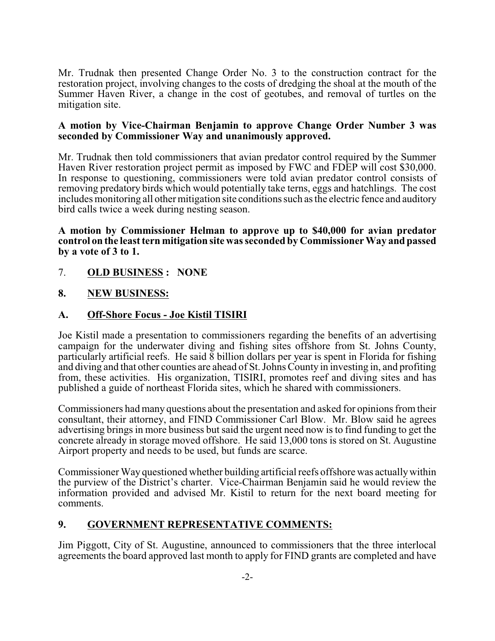Mr. Trudnak then presented Change Order No. 3 to the construction contract for the restoration project, involving changes to the costs of dredging the shoal at the mouth of the Summer Haven River, a change in the cost of geotubes, and removal of turtles on the mitigation site.

#### **A motion by Vice-Chairman Benjamin to approve Change Order Number 3 was seconded by Commissioner Way and unanimously approved.**

Mr. Trudnak then told commissioners that avian predator control required by the Summer Haven River restoration project permit as imposed by FWC and FDEP will cost \$30,000. In response to questioning, commissioners were told avian predator control consists of removing predatory birds which would potentially take terns, eggs and hatchlings. The cost includes monitoring all other mitigation site conditions such as the electric fence and auditory bird calls twice a week during nesting season.

**A motion by Commissioner Helman to approve up to \$40,000 for avian predator control on the least tern mitigation site was seconded by Commissioner Way and passed by a vote of 3 to 1.**

- 7. **OLD BUSINESS : NONE**
- **8. NEW BUSINESS:**

### **A. Off-Shore Focus - Joe Kistil TISIRI**

Joe Kistil made a presentation to commissioners regarding the benefits of an advertising campaign for the underwater diving and fishing sites offshore from St. Johns County, particularly artificial reefs. He said 8 billion dollars per year is spent in Florida for fishing and diving and that other counties are ahead of St. Johns County in investing in, and profiting from, these activities. His organization, TISIRI, promotes reef and diving sites and has published a guide of northeast Florida sites, which he shared with commissioners.

Commissioners had many questions about the presentation and asked for opinions from their consultant, their attorney, and FIND Commissioner Carl Blow. Mr. Blow said he agrees advertising brings in more business but said the urgent need now is to find funding to get the concrete already in storage moved offshore. He said 13,000 tons is stored on St. Augustine Airport property and needs to be used, but funds are scarce.

Commissioner Way questioned whether building artificial reefs offshore was actuallywithin the purview of the District's charter. Vice-Chairman Benjamin said he would review the information provided and advised Mr. Kistil to return for the next board meeting for comments.

### **9. GOVERNMENT REPRESENTATIVE COMMENTS:**

Jim Piggott, City of St. Augustine, announced to commissioners that the three interlocal agreements the board approved last month to apply for FIND grants are completed and have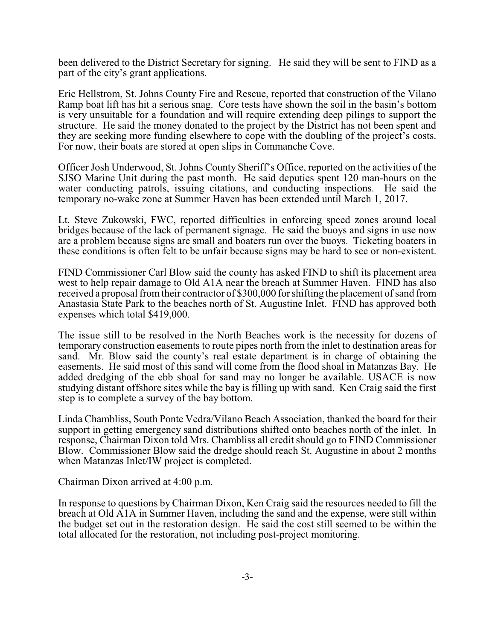been delivered to the District Secretary for signing. He said they will be sent to FIND as a part of the city's grant applications.

Eric Hellstrom, St. Johns County Fire and Rescue, reported that construction of the Vilano Ramp boat lift has hit a serious snag. Core tests have shown the soil in the basin's bottom is very unsuitable for a foundation and will require extending deep pilings to support the structure. He said the money donated to the project by the District has not been spent and they are seeking more funding elsewhere to cope with the doubling of the project's costs. For now, their boats are stored at open slips in Commanche Cove.

Officer Josh Underwood, St. Johns County Sheriff's Office, reported on the activities of the SJSO Marine Unit during the past month. He said deputies spent 120 man-hours on the water conducting patrols, issuing citations, and conducting inspections. He said the temporary no-wake zone at Summer Haven has been extended until March 1, 2017.

Lt. Steve Zukowski, FWC, reported difficulties in enforcing speed zones around local bridges because of the lack of permanent signage. He said the buoys and signs in use now are a problem because signs are small and boaters run over the buoys. Ticketing boaters in these conditions is often felt to be unfair because signs may be hard to see or non-existent.

FIND Commissioner Carl Blow said the county has asked FIND to shift its placement area west to help repair damage to Old A1A near the breach at Summer Haven. FIND has also received a proposal from their contractor of \$300,000 for shifting the placement of sand from Anastasia State Park to the beaches north of St. Augustine Inlet. FIND has approved both expenses which total \$419,000.

The issue still to be resolved in the North Beaches work is the necessity for dozens of temporary construction easements to route pipes north from the inlet to destination areas for sand. Mr. Blow said the county's real estate department is in charge of obtaining the easements. He said most of this sand will come from the flood shoal in Matanzas Bay. He added dredging of the ebb shoal for sand may no longer be available. USACE is now studying distant offshore sites while the bay is filling up with sand. Ken Craig said the first step is to complete a survey of the bay bottom.

Linda Chambliss, South Ponte Vedra/Vilano Beach Association, thanked the board for their support in getting emergency sand distributions shifted onto beaches north of the inlet. In response, Chairman Dixon told Mrs. Chambliss all credit should go to FIND Commissioner Blow. Commissioner Blow said the dredge should reach St. Augustine in about 2 months when Matanzas Inlet/IW project is completed.

Chairman Dixon arrived at 4:00 p.m.

In response to questions by Chairman Dixon, Ken Craig said the resources needed to fill the breach at Old A1A in Summer Haven, including the sand and the expense, were still within the budget set out in the restoration design. He said the cost still seemed to be within the total allocated for the restoration, not including post-project monitoring.